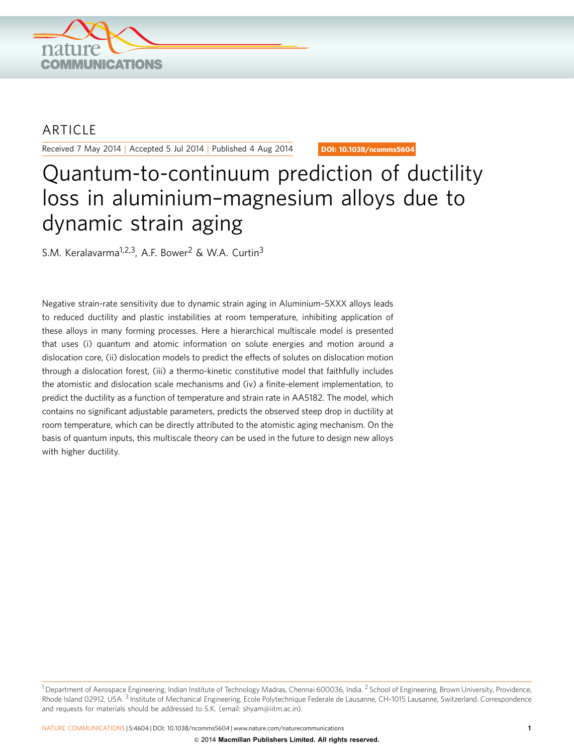

## **ARTICLE**

Received 7 May 2014 | Accepted 5 Jul 2014 | Published 4 Aug 2014

DOI: 10.1038/ncomms5604

# Quantum-to-continuum prediction of ductility loss in aluminium–magnesium alloys due to dynamic strain aging

S.M. Keralavarma<sup>1,2,3</sup>, A.F. Bower<sup>2</sup> & W.A. Curtin<sup>3</sup>

Negative strain-rate sensitivity due to dynamic strain aging in Aluminium–5XXX alloys leads to reduced ductility and plastic instabilities at room temperature, inhibiting application of these alloys in many forming processes. Here a hierarchical multiscale model is presented that uses (i) quantum and atomic information on solute energies and motion around a dislocation core, (ii) dislocation models to predict the effects of solutes on dislocation motion through a dislocation forest, (iii) a thermo-kinetic constitutive model that faithfully includes the atomistic and dislocation scale mechanisms and (iv) a finite-element implementation, to predict the ductility as a function of temperature and strain rate in AA5182. The model, which contains no significant adjustable parameters, predicts the observed steep drop in ductility at room temperature, which can be directly attributed to the atomistic aging mechanism. On the basis of quantum inputs, this multiscale theory can be used in the future to design new alloys with higher ductility.

 $^1$ Department of Aerospace Engineering, Indian Institute of Technology Madras, Chennai 600036, India. <sup>2</sup> School of Engineering, Brown University, Providence, Rhode Island 02912, USA. <sup>3</sup> Institute of Mechanical Engineering, Ecole Polytechnique Federale de Lausanne, CH-1015 Lausanne, Switzerland. Correspondence and requests for materials should be addressed to S.K. (email: [shyam@iitm.ac.in](mailto:shyam@iitm.ac.in)).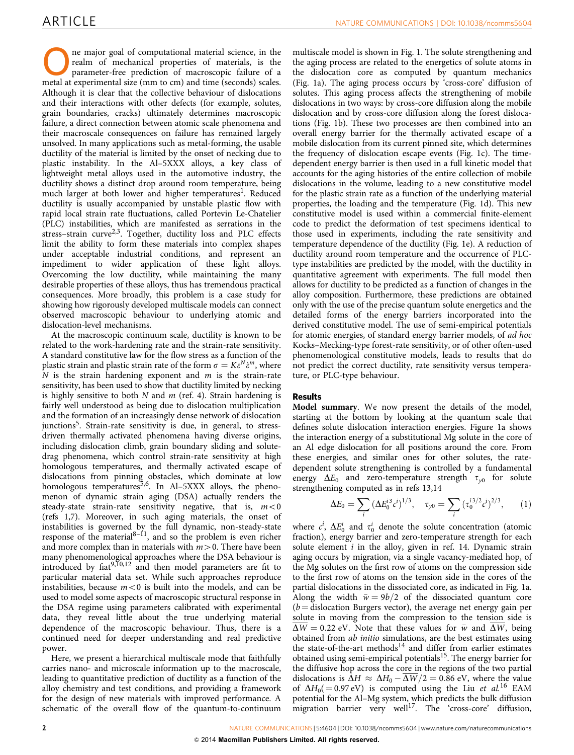ne major goal of computational material science, in the realm of mechanical properties of materials, is the parameter-free prediction of macroscopic failure of a metal at experimental size (mm to cm) and time (seconds) scales. Although it is clear that the collective behaviour of dislocations and their interactions with other defects (for example, solutes, grain boundaries, cracks) ultimately determines macroscopic failure, a direct connection between atomic scale phenomena and their macroscale consequences on failure has remained largely unsolved. In many applications such as metal-forming, the usable ductility of the material is limited by the onset of necking due to plastic instability. In the Al–5XXX alloys, a key class of lightweight metal alloys used in the automotive industry, the ductility shows a distinct drop around room temperature, being much larger at both lower and higher temperatures<sup>1</sup>. Reduced ductility is usually accompanied by unstable plastic flow with rapid local strain rate fluctuations, called Portevin Le-Chatelier (PLC) instabilities, which are manifested as serrations in the stress–strain curve<sup>2,3</sup>. Together, ductility loss and PLC effects limit the ability to form these materials into complex shapes under acceptable industrial conditions, and represent an impediment to wider application of these light alloys. Overcoming the low ductility, while maintaining the many desirable properties of these alloys, thus has tremendous practical consequences. More broadly, this problem is a case study for showing how rigorously developed multiscale models can connect observed macroscopic behaviour to underlying atomic and dislocation-level mechanisms.

At the macroscopic continuum scale, ductility is known to be related to the work-hardening rate and the strain-rate sensitivity. A standard constitutive law for the flow stress as a function of the plastic strain and plastic strain rate of the form  $\sigma = K e^N \dot{e}^m,$  where  $N$  is the strain hardening exponent and  $m$  is the strain-rate sensitivity, has been used to show that ductility limited by necking is highly sensitive to both  $N$  and  $m$  ([ref. 4](#page-7-0)). Strain hardening is fairly well understood as being due to dislocation multiplication and the formation of an increasingly dense network of dislocation junctions<sup>[5](#page-7-0)</sup>. Strain-rate sensitivity is due, in general, to stressdriven thermally activated phenomena having diverse origins, including dislocation climb, grain boundary sliding and solutedrag phenomena, which control strain-rate sensitivity at high homologous temperatures, and thermally activated escape of dislocations from pinning obstacles, which dominate at low homologous temperatures<sup>[5,6](#page-7-0)</sup>. In Al-5XXX alloys, the phenomenon of dynamic strain aging (DSA) actually renders the steady-state strain-rate sensitivity negative, that is,  $m < 0$ ([refs 1,7\)](#page-7-0). Moreover, in such aging materials, the onset of instabilities is governed by the full dynamic, non-steady-state response of the material $8-11$ , and so the problem is even richer and more complex than in materials with  $m > 0$ . There have been many phenomenological approaches where the DSA behaviour is introduced by  $\text{fat}^{9,10,12}$  $\text{fat}^{9,10,12}$  $\text{fat}^{9,10,12}$  and then model parameters are fit to particular material data set. While such approaches reproduce instabilities, because  $m < 0$  is built into the models, and can be used to model some aspects of macroscopic structural response in the DSA regime using parameters calibrated with experimental data, they reveal little about the true underlying material dependence of the macroscopic behaviour. Thus, there is a continued need for deeper understanding and real predictive power.

Here, we present a hierarchical multiscale mode that faithfully carries nano- and microscale information up to the macroscale, leading to quantitative prediction of ductility as a function of the alloy chemistry and test conditions, and providing a framework for the design of new materials with improved performance. A schematic of the overall flow of the quantum-to-continuum

multiscale model is shown in [Fig. 1.](#page-2-0) The solute strengthening and the aging process are related to the energetics of solute atoms in the dislocation core as computed by quantum mechanics ([Fig. 1a](#page-2-0)). The aging process occurs by 'cross-core' diffusion of solutes. This aging process affects the strengthening of mobile dislocations in two ways: by cross-core diffusion along the mobile dislocation and by cross-core diffusion along the forest dislocations [\(Fig. 1b\)](#page-2-0). These two processes are then combined into an overall energy barrier for the thermally activated escape of a mobile dislocation from its current pinned site, which determines the frequency of dislocation escape events ([Fig. 1c](#page-2-0)). The timedependent energy barrier is then used in a full kinetic model that accounts for the aging histories of the entire collection of mobile dislocations in the volume, leading to a new constitutive model for the plastic strain rate as a function of the underlying material properties, the loading and the temperature [\(Fig. 1d](#page-2-0)). This new constitutive model is used within a commercial finite-element code to predict the deformation of test specimens identical to those used in experiments, including the rate sensitivity and temperature dependence of the ductility [\(Fig. 1e\)](#page-2-0). A reduction of ductility around room temperature and the occurrence of PLCtype instabilities are predicted by the model, with the ductility in quantitative agreement with experiments. The full model then allows for ductility to be predicted as a function of changes in the alloy composition. Furthermore, these predictions are obtained only with the use of the precise quantum solute energetics and the detailed forms of the energy barriers incorporated into the derived constitutive model. The use of semi-empirical potentials for atomic energies, of standard energy barrier models, of ad hoc Kocks–Mecking-type forest-rate sensitivity, or of other often-used phenomenological constitutive models, leads to results that do not predict the correct ductility, rate sensitivity versus temperature, or PLC-type behaviour.

### Results

Model summary. We now present the details of the model, starting at the bottom by looking at the quantum scale that defines solute dislocation interaction energies. [Figure 1a](#page-2-0) shows the interaction energy of a substitutional Mg solute in the core of an Al edge dislocation for all positions around the core. From these energies, and similar ones for other solutes, the ratedependent solute strengthening is controlled by a fundamental energy  $\Delta E_0$  and zero-temperature strength  $\tau_{v0}$  for solute strengthening computed as in [refs 13,14](#page-7-0)

$$
\Delta E_0 = \sum_i \left( \Delta E_0^{i3} c^i \right)^{1/3}, \quad \tau_{y0} = \sum_i \left( \tau_0^{i3/2} c^i \right)^{2/3}, \qquad (1)
$$

where  $c^i$ ,  $\Delta E^i_0$  and  $\tau^i_0$  denote the solute concentration (atomic fraction), energy barrier and zero-temperature strength for each solute element  $i$  in the alloy, given in [ref. 14](#page-7-0). Dynamic strain aging occurs by migration, via a single vacancy-mediated hop, of the Mg solutes on the first row of atoms on the compression side to the first row of atoms on the tension side in the cores of the partial dislocations in the dissociated core, as indicated in [Fig. 1a.](#page-2-0) Along the width  $\bar{w} = 9b/2$  of the dissociated quantum core  $(b =$  dislocation Burgers vector), the average net energy gain per solute in moving from the compression to the tension side is  $\Delta W = 0.22$  eV. Note that these values for  $\bar{w}$  and  $\Delta W$ , being obtained from ab initio simulations, are the best estimates using the state-of-the-art methods<sup>14</sup> and differ from earlier estimates obtained using semi-empirical potentials<sup>[15](#page-7-0)</sup>. The energy barrier for the diffusive hop across the core in the regions of the two partial dislocations is  $\Delta H \approx \Delta H_0 - \Delta W/2 = 0.86 \text{ eV}$ , where the value of  $\Delta H_0$ ( = 0.97 eV) is computed using the Liu et al.<sup>[16](#page-7-0)</sup> EAM potential for the Al–Mg system, which predicts the bulk diffusion migration barrier very well<sup>17</sup>. The 'cross-core' diffusion,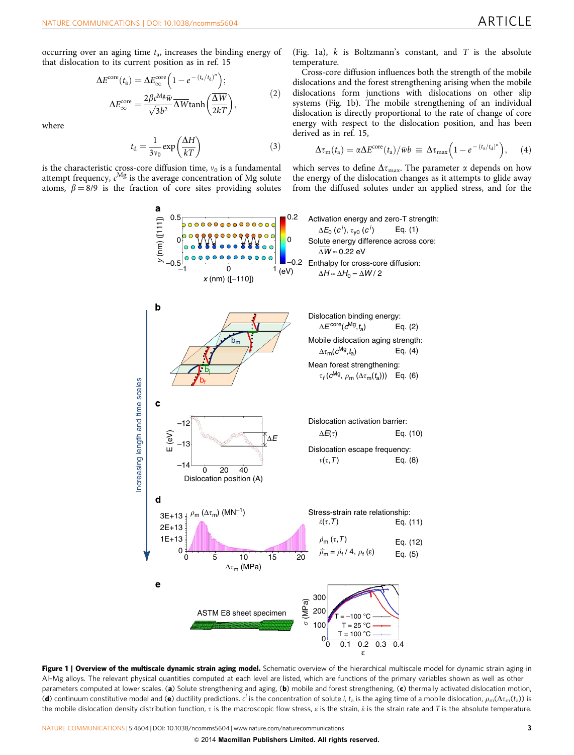<span id="page-2-0"></span>occurring over an aging time  $t_a$ , increases the binding energy of that dislocation to its current position as in [ref. 15](#page-7-0)

$$
\Delta E^{\text{core}}(t_{\text{a}}) = \Delta E^{\text{core}}_{\infty} \left( 1 - e^{-(t_{\text{a}}/t_{\text{d}})^{n}} \right);
$$

$$
\Delta E^{\text{core}}_{\infty} = \frac{2\beta c^{\text{Mg}} \bar{w}}{\sqrt{3}b^{2}} \overline{\Delta W} \tanh\left(\frac{\Delta W}{2kT}\right),
$$
(2)

where

$$
t_{\rm d} = \frac{1}{3v_0} \exp\left(\frac{\Delta H}{kT}\right) \tag{3}
$$

is the characteristic cross-core diffusion time,  $v_0$  is a fundamental attempt frequency,  $c^{Mg}$  is the average concentration of Mg solute atoms,  $\beta = 8/9$  is the fraction of core sites providing solutes (Fig. 1a),  $k$  is Boltzmann's constant, and  $T$  is the absolute temperature.

Cross-core diffusion influences both the strength of the mobile dislocations and the forest strengthening arising when the mobile dislocations form junctions with dislocations on other slip systems (Fig. 1b). The mobile strengthening of an individual dislocation is directly proportional to the rate of change of core energy with respect to the dislocation position, and has been derived as in [ref. 15,](#page-7-0)

$$
\Delta \tau_{m}(t_{a}) = \alpha \Delta E^{\text{core}}(t_{a}) / \bar{w} b \equiv \Delta \tau_{\text{max}} \Big( 1 - e^{- (t_{a}/t_{d})^{n}} \Big), \quad (4)
$$

which serves to define  $\Delta \tau_{\text{max}}$ . The parameter  $\alpha$  depends on how the energy of the dislocation changes as it attempts to glide away from the diffused solutes under an applied stress, and for the



Figure 1 | Overview of the multiscale dynamic strain aging model. Schematic overview of the hierarchical multiscale model for dynamic strain aging in Al–Mg alloys. The relevant physical quantities computed at each level are listed, which are functions of the primary variables shown as well as other parameters computed at lower scales. (a) Solute strengthening and aging, (b) mobile and forest strengthening, (c) thermally activated dislocation motion, (d) continuum constitutive model and (e) ductility predictions. c' is the concentration of solute i, t<sub>a</sub> is the aging time of a mobile dislocation,  $\rho_m(\Delta \tau_m(t_a))$  is the mobile dislocation density distribution function,  $\tau$  is the macroscopic flow stress,  $\varepsilon$  is the strain,  $\varepsilon$  is the strain rate and T is the absolute temperature.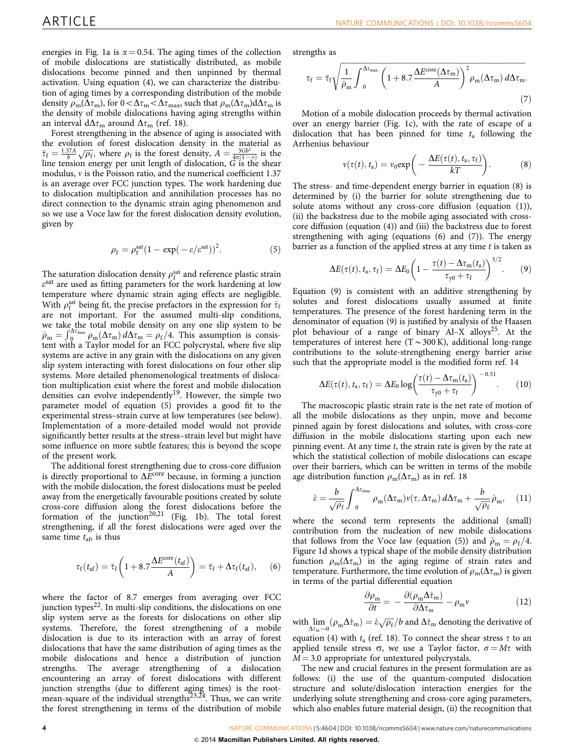energies in [Fig. 1a](#page-2-0) is  $\alpha = 0.54$ . The aging times of the collection of mobile dislocations are statistically distributed, as mobile dislocations become pinned and then unpinned by thermal activation. Using equation (4), we can characterize the distribution of aging times by a corresponding distribution of the mobile density  $\rho_m(\Delta\tau_m)$ , for  $0<\Delta\tau_m<\Delta\tau_{max}$ , such that  $\rho_m(\Delta\tau_m)d\Delta\tau_m$  is the density of mobile dislocations having aging strengths within an interval  $d\Delta\tau_m$  around  $\Delta\tau_m$  [\(ref. 18\)](#page-7-0).

Forest strengthening in the absence of aging is associated with the evolution of forest dislocation density in the material as  $\overline{\tau}_{\text{f}} = \frac{1.37A}{b} \sqrt{\rho_{\text{f}}}$ , where  $\rho_{\text{f}}$  is the forest density,  $A = \frac{3Gb^2}{4\pi(1-\gamma)}$  is the line tension energy per unit length of dislocation,  $\vec{G}$  is the shear modulus,  $\nu$  is the Poisson ratio, and the numerical coefficient 1.37 is an average over FCC junction types. The work hardening due to dislocation multiplication and annihilation processes has no direct connection to the dynamic strain aging phenomenon and so we use a Voce law for the forest dislocation density evolution, given by

$$
\rho_{\rm f} = \rho_{\rm f}^{\rm sat} (1 - \exp(-\varepsilon/\varepsilon^{\rm sat}))^2. \tag{5}
$$

The saturation dislocation density  $\rho_f^{\text{sat}}$  and reference plastic strain  $\varepsilon^{\text{sat}}$  are used as fitting parameters for the work hardening at low temperature where dynamic strain aging effects are negligible. With  $\rho_f^{\text{sat}}$  being fit, the precise prefactors in the expression for  $\bar{\tau}_f$ are not important. For the assumed multi-slip conditions, we take the total mobile density on any one slip system to be  $\bar{\rho}_m = \int_{0}^{\Delta t_{\text{max}}} \rho_m(\Delta \tau_m) d\Delta \tau_m = \rho_f/4$ . This assumption is consistent with a Taylor model for an FCC polycrystal, where five slip systems are active in any grain with the dislocations on any given slip system interacting with forest dislocations on four other slip systems. More detailed phenomenological treatments of dislocation multiplication exist where the forest and mobile dislocation densities can evolve independently<sup>19</sup>. However, the simple two parameter model of equation (5) provides a good fit to the experimental stress–strain curve at low temperatures (see below). Implementation of a more-detailed model would not provide significantly better results at the stress–strain level but might have some influence on more subtle features; this is beyond the scope of the present work.

The additional forest strengthening due to cross-core diffusion is directly proportional to  $\Delta E^{\text{core}}$  because, in forming a junction with the mobile dislocation, the forest dislocations must be peeled away from the energetically favourable positions created by solute cross-core diffusion along the forest dislocations before the formation of the junction<sup>[20,21](#page-7-0)</sup> [\(Fig. 1b](#page-2-0)). The total forest strengthening, if all the forest dislocations were aged over the same time  $t_{\text{af}}$ , is thus

$$
\tau_{\rm f}(t_{\rm af}) = \overline{\tau}_{\rm f}\left(1 + 8.7\frac{\Delta E^{\rm core}(t_{\rm af})}{A}\right) = \overline{\tau}_{\rm f} + \Delta \tau_{\rm f}(t_{\rm af}), \quad (6)
$$

where the factor of 8.7 emerges from averaging over FCC junction types<sup>[22](#page-7-0)</sup>. In multi-slip conditions, the dislocations on one slip system serve as the forests for dislocations on other slip systems. Therefore, the forest strengthening of a mobile dislocation is due to its interaction with an array of forest dislocations that have the same distribution of aging times as the mobile dislocations and hence a distribution of junction strengths. The average strengthening of a dislocation encountering an array of forest dislocations with different junction strengths (due to different aging times) is the root-mean-square of the individual strengths<sup>[23,24](#page-7-0)</sup>. Thus, we can write the forest strengthening in terms of the distribution of mobile

strengths as

$$
\tau_{\rm f} = \bar{\tau}_{\rm f} \sqrt{\frac{1}{\bar{\rho}_{\rm m}} \int_{0}^{\Delta \tau_{\rm max}} \left(1 + 8.7 \frac{\Delta E^{\rm core}(\Delta \tau_{\rm m})}{A}\right)^2 \rho_{\rm m}(\Delta \tau_{\rm m}) d\Delta \tau_{\rm m}}.
$$
\n(7)

Motion of a mobile dislocation proceeds by thermal activation over an energy barrier [\(Fig. 1c](#page-2-0)), with the rate of escape of a dislocation that has been pinned for time  $t_a$  following the Arrhenius behaviour

$$
v(\tau(t), t_a) = v_0 \exp\bigg(-\frac{\Delta E(\tau(t), t_a, \tau_f)}{kT}\bigg). \tag{8}
$$

The stress- and time-dependent energy barrier in equation (8) is determined by (i) the barrier for solute strengthening due to solute atoms without any cross-core diffusion (equation (1)), (ii) the backstress due to the mobile aging associated with crosscore diffusion (equation (4)) and (iii) the backstress due to forest strengthening with aging (equations (6) and (7)). The energy barrier as a function of the applied stress at any time  $t$  is taken as

$$
\Delta E(\tau(t), t_a, \tau_f) = \Delta E_0 \left( 1 - \frac{\tau(t) - \Delta \tau_m(t_a)}{\tau_{y0} + \tau_f} \right)^{3/2}.
$$
 (9)

Equation (9) is consistent with an additive strengthening by solutes and forest dislocations usually assumed at finite temperatures. The presence of the forest hardening term in the denominator of equation (9) is justified by analysis of the Haasen plot behaviour of a range of binary  $Al-X$  alloys<sup>25</sup>. At the temperatures of interest here  $(T \sim 300 \text{ K})$ , additional long-range contributions to the solute-strengthening energy barrier arise such that the appropriate model is the modified form [ref. 14](#page-7-0)

$$
\Delta E(\tau(t), t_{\rm a}, \tau_{\rm f}) = \Delta E_0 \log \left( \frac{\tau(t) - \Delta \tau_{\rm m}(t_{\rm a})}{\tau_{\rm y0} + \tau_{\rm f}} \right)^{-0.51}.
$$
 (10)

The macroscopic plastic strain rate is the net rate of motion of all the mobile dislocations as they unpin, move and become pinned again by forest dislocations and solutes, with cross-core diffusion in the mobile dislocations starting upon each new pinning event. At any time  $t$ , the strain rate is given by the rate at which the statistical collection of mobile dislocations can escape over their barriers, which can be written in terms of the mobile age distribution function  $\rho_m(\Delta \tau_m)$  as in [ref. 18](#page-7-0)

$$
\dot{\varepsilon} = \frac{b}{\sqrt{\rho_{\rm f}}} \int_0^{\Delta \tau_{\rm max}} \rho_{\rm m}(\Delta \tau_{\rm m}) v(\tau, \Delta \tau_{\rm m}) d\Delta \tau_{\rm m} + \frac{b}{\sqrt{\rho_{\rm f}}} \dot{\rho}_{\rm m}, \quad (11)
$$

where the second term represents the additional (small) contribution from the nucleation of new mobile dislocations that follows from the Voce law (equation (5)) and  $\bar{p}_m = \rho_f/4$ . [Figure 1d](#page-2-0) shows a typical shape of the mobile density distribution function  $\rho_m(\Delta \tau_m)$  in the aging regime of strain rates and temperature. Furthermore, the time evolution of  $\rho_m(\Delta \tau_m)$  is given in terms of the partial differential equation

$$
\frac{\partial \rho_{\rm m}}{\partial t} = -\frac{\partial (\rho_{\rm m} \Delta \dot{\tau}_{\rm m})}{\partial \Delta \tau_{\rm m}} - \rho_{\rm m} v \tag{12}
$$

with  $\lim_{\Delta\tau_{\rm m}\to 0}(\rho_{\rm m}\Delta\dot{\tau}_{\rm m})=\dot{\epsilon}\sqrt{\rho_{\rm f}}/b$  and  $\Delta\dot{\tau}_{\rm m}$  denoting the derivative of equation (4) with  $t_a$  [\(ref. 18](#page-7-0)). To connect the shear stress  $\tau$  to an applied tensile stress  $\sigma$ , we use a Taylor factor,  $\sigma = M\tau$  with  $M = 3.0$  appropriate for untextured polycrystals.

The new and crucial features in the present formulation are as follows: (i) the use of the quantum-computed dislocation structure and solute/dislocation interaction energies for the underlying solute strengthening and cross-core aging parameters, which also enables future material design, (ii) the recognition that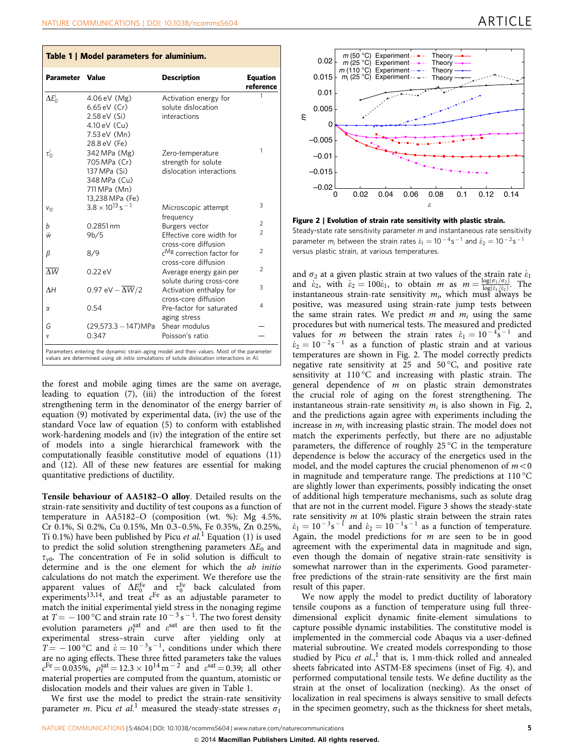<span id="page-4-0"></span>

| Parameter Value       |                                                                                                        | <b>Description</b>                                                  | <b>Equation</b><br>reference |
|-----------------------|--------------------------------------------------------------------------------------------------------|---------------------------------------------------------------------|------------------------------|
| $\Delta E_0^i$        | $4.06 \text{ eV}$ (Mg)<br>6.65 eV (Cr)<br>2.58 eV (Si)<br>4.10 eV (Cu)<br>7.53 eV (Mn)<br>28.8 eV (Fe) | Activation energy for<br>solute dislocation<br>interactions         | 1                            |
| $\tau_0^i$            | 342 MPa (Mg)<br>705 MPa (Cr)<br>137 MPa (Si)<br>348 MPa (Cu)<br>711 MPa (Mn)<br>13,238 MPa (Fe)        | Zero-temperature<br>strength for solute<br>dislocation interactions | $\mathbf{1}$                 |
| $V_{\Omega}$          | $3.8 \times 10^{13}$ s $^{-1}$                                                                         | Microscopic attempt<br>frequency                                    | 3                            |
| b                     | $0.2851$ nm                                                                                            | Burgers vector                                                      | 2                            |
| ŵ                     | 9b/5                                                                                                   | Effective core width for<br>cross-core diffusion                    | $\overline{2}$               |
| β                     | 8/9                                                                                                    | c <sup>Mg</sup> correction factor for<br>cross-core diffusion       | $\overline{2}$               |
| $\overline{\wedge w}$ | $0.22 \text{ eV}$                                                                                      | Average energy gain per<br>solute during cross-core                 | $\overline{2}$               |
| $\Lambda$ H           | 0.97 eV $-\overline{\Delta W}/2$                                                                       | Activation enthalpy for<br>cross-core diffusion                     | 3                            |
| α                     | 0.54                                                                                                   | Pre-factor for saturated<br>aging stress                            | 4                            |
| G                     | (29,573.3 – 14T)MPa                                                                                    | Shear modulus                                                       |                              |
| $\mathcal{V}$         | 0.347                                                                                                  | Poisson's ratio                                                     |                              |

the forest and mobile aging times are the same on average, leading to equation (7), (iii) the introduction of the forest strengthening term in the denominator of the energy barrier of equation (9) motivated by experimental data, (iv) the use of the standard Voce law of equation (5) to conform with established work-hardening models and (iv) the integration of the entire set of models into a single hierarchical framework with the computationally feasible constitutive model of equations (11) and (12). All of these new features are essential for making quantitative predictions of ductility.

Tensile behaviour of AA5182–O alloy. Detailed results on the strain-rate sensitivity and ductility of test coupons as a function of temperature in AA5182–O (composition (wt. %): Mg 4.5%, Cr 0.1%, Si 0.2%, Cu 0.15%, Mn 0.3–0.5%, Fe 0.35%, Zn 0.25%, Ti 0.[1](#page-7-0)%) have been published by Picu et al.<sup>1</sup> Equation (1) is used to predict the solid solution strengthening parameters  $\Delta E_0$  and  $\tau_{\rm v0}$ . The concentration of Fe in solid solution is difficult to determine and is the one element for which the ab initio calculations do not match the experiment. We therefore use the apparent values of  $\Delta E_0^{\text{Fe}}$  and  $\tau_0^{\text{Fe}}$  back calculated from experiments<sup>[13,14](#page-7-0)</sup>, and treat  $c^{\text{Fe}}$  as an adjustable parameter to match the initial experimental yield stress in the nonaging regime at  $T = -100\text{ °C}$  and strain rate  $10^{-3}$  s<sup>-1</sup>. The two forest density evolution parameters  $\rho_f^{\text{sat}}$  and  $\varepsilon^{\text{sat}}$  are then used to fit the experimental stress–strain curve after yielding only at  $T = -100$  °C and  $\dot{\epsilon} = 10^{-3} s^{-1}$ , conditions under which there are no aging effects. These three fitted parameters take the values  $c^{\text{Fe}} = 0.035\%$ ,  $\rho_{\text{f}}^{\text{sat}} = 12.3 \times 10^{14} \,\text{m}^{-2}$  and  $\varepsilon^{\text{sat}} = 0.39$ ; all other material properties are computed from the quantum, atomistic or dislocation models and their values are given in Table 1.

We first use the model to predict the strain-rate sensitivity parameter *m*. Picu et al.<sup>[1](#page-7-0)</sup> measured the steady-state stresses  $\sigma_1$ 



Figure 2 | Evolution of strain rate sensitivity with plastic strain. Steady-state rate sensitivity parameter m and instantaneous rate sensitivity parameter  $m_i$  between the strain rates  $\varepsilon_1 = 10^{-4}$ s<sup>-1</sup> and  $\varepsilon_2 = 10^{-2}$ s<sup>-1</sup> versus plastic strain, at various temperatures.

and  $\sigma_2$  at a given plastic strain at two values of the strain rate  $\dot{\epsilon}_1$ and  $\epsilon_2$ , with  $\epsilon_2 = 100\epsilon_1$ , to obtain m as  $m = \frac{\log(\sigma_1/\sigma_2)}{\log(\epsilon_1/\epsilon_2)}$ . The instantaneous strain-rate sensitivity  $m_i$ , which must always be positive, was measured using strain-rate jump tests between the same strain rates. We predict  $m$  and  $m_i$  using the same procedures but with numerical tests. The measured and predicted values for *m* between the strain rates  $\dot{\epsilon}_1 = 10^{-4} \bar{s}^{-1}$  and  $\dot{\epsilon}_2 = 10^{-2} \text{s}^{-1}$  as a function of plastic strain and at various temperatures are shown in Fig. 2. The model correctly predicts negative rate sensitivity at 25 and 50 $\mathrm{^{\circ}C}$ , and positive rate sensitivity at  $110\,^{\circ}\text{C}$  and increasing with plastic strain. The general dependence of m on plastic strain demonstrates the crucial role of aging on the forest strengthening. The instantaneous strain-rate sensitivity  $m_i$  is also shown in Fig. 2, and the predictions again agree with experiments including the increase in  $m_i$  with increasing plastic strain. The model does not match the experiments perfectly, but there are no adjustable parameters, the difference of roughly  $25^{\circ}$ C in the temperature dependence is below the accuracy of the energetics used in the model, and the model captures the crucial phenomenon of  $m < 0$ in magnitude and temperature range. The predictions at  $110^{\circ}$ C are slightly lower than experiments, possibly indicating the onset of additional high temperature mechanisms, such as solute drag that are not in the current model. [Figure 3](#page-5-0) shows the steady-state rate sensitivity  $m$  at 10% plastic strain between the strain rates  $\dot{\epsilon}_1 = 10^{-3} s^{-1}$  and  $\dot{\epsilon}_2 = 10^{-1} s^{-1}$  as a function of temperature. Again, the model predictions for  $m$  are seen to be in good agreement with the experimental data in magnitude and sign, even though the domain of negative strain-rate sensitivity is somewhat narrower than in the experiments. Good parameterfree predictions of the strain-rate sensitivity are the first main result of this paper.

We now apply the model to predict ductility of laboratory tensile coupons as a function of temperature using full threedimensional explicit dynamic finite-element simulations to capture possible dynamic instabilities. The constitutive model is implemented in the commercial code Abaqus via a user-defined material subroutine. We created models corresponding to those studied by Picu et  $al$ ,<sup>[1](#page-7-0)</sup> that is, 1 mm-thick rolled and annealed sheets fabricated into ASTM-E8 specimens (inset of [Fig. 4\)](#page-5-0), and performed computational tensile tests. We define ductility as the strain at the onset of localization (necking). As the onset of localization in real specimens is always sensitive to small defects in the specimen geometry, such as the thickness for sheet metals,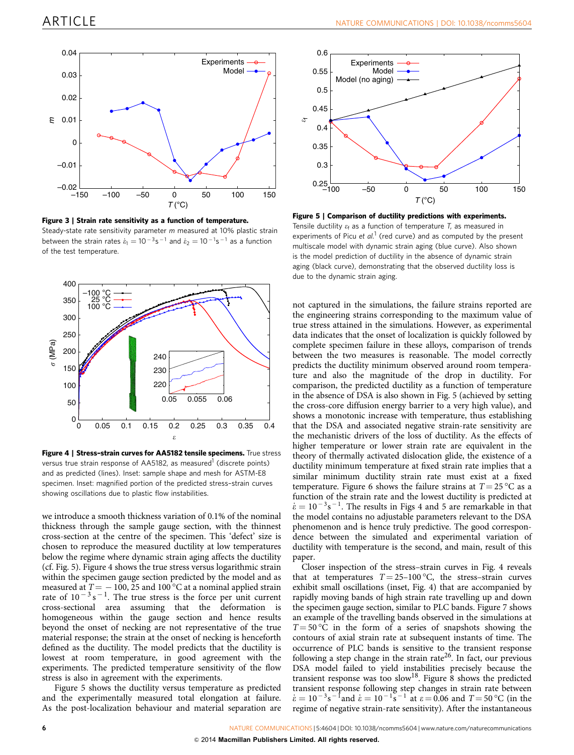<span id="page-5-0"></span>





Figure 4 | Stress-strain curves for AA5182 tensile specimens. True stress versus true strain response of AA5[1](#page-7-0)82, as measured<sup>1</sup> (discrete points) and as predicted (lines). Inset: sample shape and mesh for ASTM-E8 specimen. Inset: magnified portion of the predicted stress–strain curves showing oscillations due to plastic flow instabilities.

we introduce a smooth thickness variation of 0.1% of the nominal thickness through the sample gauge section, with the thinnest cross-section at the centre of the specimen. This 'defect' size is chosen to reproduce the measured ductility at low temperatures below the regime where dynamic strain aging affects the ductility (cf. Fig. 5). Figure 4 shows the true stress versus logarithmic strain within the specimen gauge section predicted by the model and as measured at  $T{=}-100$ , 25 and 100 °C at a nominal applied strain rate of  $10^{-3}$  s<sup>-1</sup>. The true stress is the force per unit current cross-sectional area assuming that the deformation is homogeneous within the gauge section and hence results beyond the onset of necking are not representative of the true material response; the strain at the onset of necking is henceforth defined as the ductility. The model predicts that the ductility is lowest at room temperature, in good agreement with the experiments. The predicted temperature sensitivity of the flow stress is also in agreement with the experiments.

Figure 5 shows the ductility versus temperature as predicted and the experimentally measured total elongation at failure. As the post-localization behaviour and material separation are



Figure 5 | Comparison of ductility predictions with experiments. Tensile ductility  $\varepsilon_f$  as a function of temperature T, as measured in experiments of Picu et  $al$ <sup>[1](#page-7-0)</sup> (red curve) and as computed by the present multiscale model with dynamic strain aging (blue curve). Also shown is the model prediction of ductility in the absence of dynamic strain aging (black curve), demonstrating that the observed ductility loss is due to the dynamic strain aging.

not captured in the simulations, the failure strains reported are the engineering strains corresponding to the maximum value of true stress attained in the simulations. However, as experimental data indicates that the onset of localization is quickly followed by complete specimen failure in these alloys, comparison of trends between the two measures is reasonable. The model correctly predicts the ductility minimum observed around room temperature and also the magnitude of the drop in ductility. For comparison, the predicted ductility as a function of temperature in the absence of DSA is also shown in Fig. 5 (achieved by setting the cross-core diffusion energy barrier to a very high value), and shows a monotonic increase with temperature, thus establishing that the DSA and associated negative strain-rate sensitivity are the mechanistic drivers of the loss of ductility. As the effects of higher temperature or lower strain rate are equivalent in the theory of thermally activated dislocation glide, the existence of a ductility minimum temperature at fixed strain rate implies that a similar minimum ductility strain rate must exist at a fixed temperature. [Figure 6](#page-6-0) shows the failure strains at  $T = 25 \degree C$  as a function of the strain rate and the lowest ductility is predicted at  $\dot{\epsilon}=10^{-3}s^{-1}.$  The results in Figs 4 and 5 are remarkable in that the model contains no adjustable parameters relevant to the DSA phenomenon and is hence truly predictive. The good correspondence between the simulated and experimental variation of ductility with temperature is the second, and main, result of this paper.

Closer inspection of the stress–strain curves in Fig. 4 reveals that at temperatures  $T = 25-100$  °C, the stress-strain curves exhibit small oscillations (inset, Fig. 4) that are accompanied by rapidly moving bands of high strain rate travelling up and down the specimen gauge section, similar to PLC bands. [Figure 7](#page-6-0) shows an example of the travelling bands observed in the simulations at  $T = 50 °C$  in the form of a series of snapshots showing the contours of axial strain rate at subsequent instants of time. The occurrence of PLC bands is sensitive to the transient response following a step change in the strain rate<sup>[26](#page-7-0)</sup>. In fact, our previous DSA model failed to yield instabilities precisely because the transient response was too slow<sup>18</sup>. [Figure 8](#page-6-0) shows the predicted transient response following step changes in strain rate between  $\dot{\epsilon} = 10^{-3} s^{-1}$  and  $\dot{\epsilon} = 10^{-1} s^{-1}$  at  $\epsilon = 0.06$  and  $T = 50 \degree$ C (in the regime of negative strain-rate sensitivity). After the instantaneous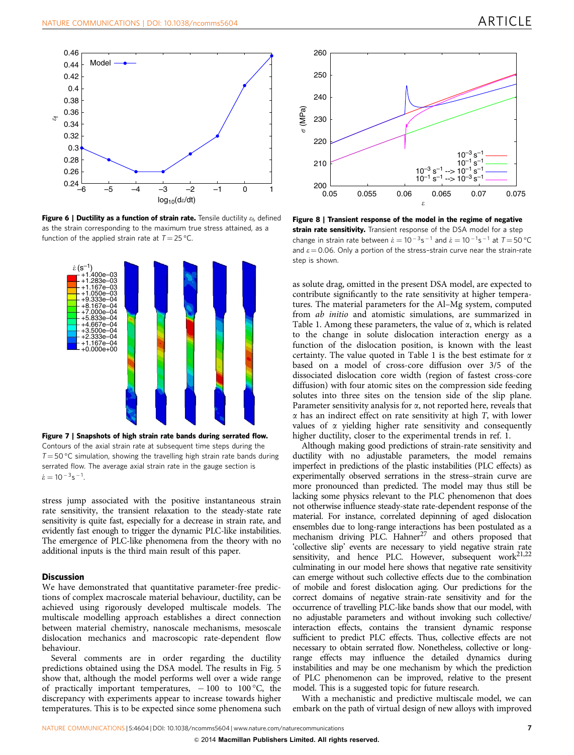<span id="page-6-0"></span>

Figure 6 | Ductility as a function of strain rate. Tensile ductility  $\varepsilon_{\text{f}}$ , defined as the strain corresponding to the maximum true stress attained, as a function of the applied strain rate at  $T\!=\!25\,^{\circ}\!\mathsf{C}.$ 



Figure 7 | Snapshots of high strain rate bands during serrated flow. Contours of the axial strain rate at subsequent time steps during the  $T = 50 °C$  simulation, showing the travelling high strain rate bands during serrated flow. The average axial strain rate in the gauge section is  $\dot{\epsilon} = 10^{-3}$ s <sup>-1</sup>.

stress jump associated with the positive instantaneous strain rate sensitivity, the transient relaxation to the steady-state rate sensitivity is quite fast, especially for a decrease in strain rate, and evidently fast enough to trigger the dynamic PLC-like instabilities. The emergence of PLC-like phenomena from the theory with no additional inputs is the third main result of this paper.

### **Discussion**

We have demonstrated that quantitative parameter-free predictions of complex macroscale material behaviour, ductility, can be achieved using rigorously developed multiscale models. The multiscale modelling approach establishes a direct connection between material chemistry, nanoscale mechanisms, mesoscale dislocation mechanics and macroscopic rate-dependent flow behaviour.

Several comments are in order regarding the ductility predictions obtained using the DSA model. The results in [Fig. 5](#page-5-0) show that, although the model performs well over a wide range of practically important temperatures,  $-100$  to  $100^{\circ}$ C, the discrepancy with experiments appear to increase towards higher temperatures. This is to be expected since some phenomena such



Figure 8 | Transient response of the model in the regime of negative strain rate sensitivity. Transient response of the DSA model for a step change in strain rate between  $\dot{\epsilon} = 10^{-3} s^{-1}$  and  $\dot{\epsilon} = 10^{-1} s^{-1}$  at  $T = 50 \degree C$ and  $\varepsilon$  = 0.06. Only a portion of the stress-strain curve near the strain-rate step is shown.

as solute drag, omitted in the present DSA model, are expected to contribute significantly to the rate sensitivity at higher temperatures. The material parameters for the Al–Mg system, computed from ab initio and atomistic simulations, are summarized in [Table 1.](#page-4-0) Among these parameters, the value of  $\alpha$ , which is related to the change in solute dislocation interaction energy as a function of the dislocation position, is known with the least certainty. The value quoted in [Table 1](#page-4-0) is the best estimate for  $\alpha$ based on a model of cross-core diffusion over 3/5 of the dissociated dislocation core width (region of fastest cross-core diffusion) with four atomic sites on the compression side feeding solutes into three sites on the tension side of the slip plane. Parameter sensitivity analysis for  $\alpha$ , not reported here, reveals that  $\alpha$  has an indirect effect on rate sensitivity at high  $T$ , with lower values of  $\alpha$  yielding higher rate sensitivity and consequently higher ductility, closer to the experimental trends in [ref. 1](#page-7-0).

Although making good predictions of strain-rate sensitivity and ductility with no adjustable parameters, the model remains imperfect in predictions of the plastic instabilities (PLC effects) as experimentally observed serrations in the stress–strain curve are more pronounced than predicted. The model may thus still be lacking some physics relevant to the PLC phenomenon that does not otherwise influence steady-state rate-dependent response of the material. For instance, correlated depinning of aged dislocation ensembles due to long-range interactions has been postulated as a mechanism driving PLC. Hahner<sup>27</sup> and others proposed that 'collective slip' events are necessary to yield negative strain rate sensitivity, and hence PLC. However, subsequent work<sup>21,22</sup> culminating in our model here shows that negative rate sensitivity can emerge without such collective effects due to the combination of mobile and forest dislocation aging. Our predictions for the correct domains of negative strain-rate sensitivity and for the occurrence of travelling PLC-like bands show that our model, with no adjustable parameters and without invoking such collective/ interaction effects, contains the transient dynamic response sufficient to predict PLC effects. Thus, collective effects are not necessary to obtain serrated flow. Nonetheless, collective or longrange effects may influence the detailed dynamics during instabilities and may be one mechanism by which the prediction of PLC phenomenon can be improved, relative to the present model. This is a suggested topic for future research.

With a mechanistic and predictive multiscale model, we can embark on the path of virtual design of new alloys with improved